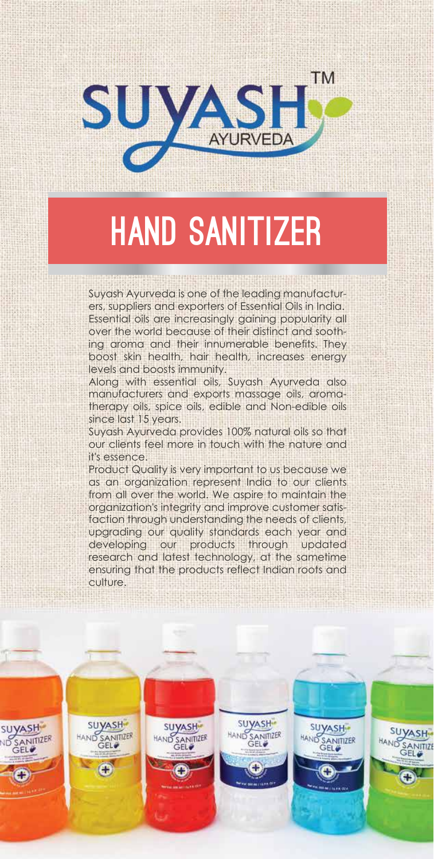

# HAND SANITIZER

Suyash Ayurveda is one of the leading manufacturers, suppliers and exporters of Essential Oils in India. Essential oils are increasingly gaining popularity all over the world because of their distinct and soothing aroma and their innumerable benefits. They boost skin health, hair health, increases energy levels and boosts immunity.

Along with essential oils, Suyash Ayurveda also manufacturers and exports massage oils, aromatherapy oils, spice oils, edible and Non-edible oils since last 15 years.

Suyash Ayurveda provides 100% natural oils so that our clients feel more in touch with the nature and it's essence.

Product Quality is very important to us because we as an organization represent India to our clients from all over the world. We aspire to maintain the organization's integrity and improve customer satisfaction through understanding the needs of clients, upgrading our quality standards each year and developing our products through updated research and latest technology, at the sametime ensuring that the products reflect Indian roots and culture.

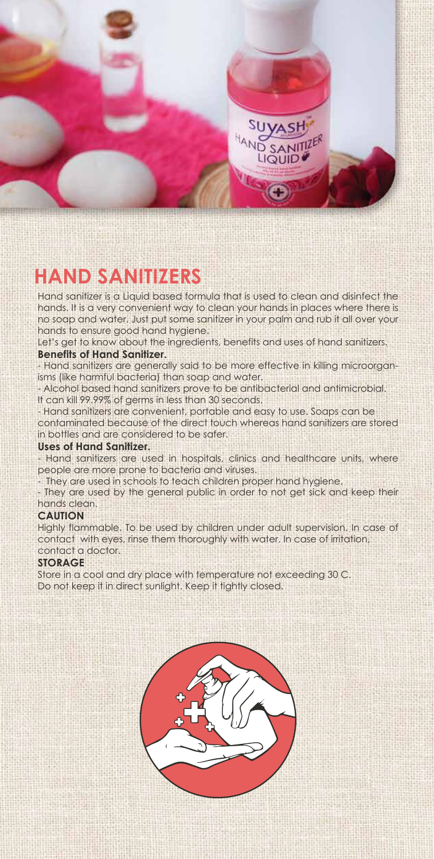

#### **HAND SANITIZERS**

Hand sanitizer is a Liquid based formula that is used to clean and disinfect the hands. It is a very convenient way to clean your hands in places where there is no soap and water. Just put some sanitizer in your palm and rub it all over your hands to ensure good hand hygiene.

Let's get to know about the ingredients, benefits and uses of hand sanitizers. **Benefits of Hand Sanitizer.**

- Hand sanitizers are generally said to be more effective in killing microorganisms (like harmful bacteria) than soap and water.

- Alcohol based hand sanitizers prove to be antibacterial and antimicrobial. It can kill 99.99% of germs in less than 30 seconds.

- Hand sanitizers are convenient, portable and easy to use. Soaps can be contaminated because of the direct touch whereas hand sanitizers are stored in bottles and are considered to be safer.

#### **Uses of Hand Sanitizer.**

- Hand sanitizers are used in hospitals, clinics and healthcare units, where people are more prone to bacteria and viruses.

They are used in schools to teach children proper hand hygiene.

- They are used by the general public in order to not get sick and keep their hands clean.

#### **CAUTION**

Highly flammable. To be used by children under adult supervision. In case of contact with eyes, rinse them thoroughly with water. In case of irritation, contact a doctor.

#### **STORAGE**

Store in a cool and dry place with temperature not exceeding 30 C. Do not keep it in direct sunlight. Keep it tightly closed.

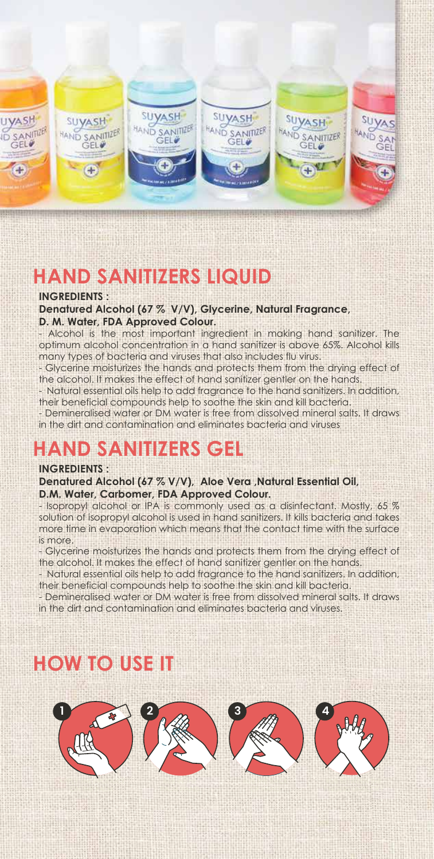

#### **HAND SANITIZERS LIQUID**

#### **INGREDIENTS :**

**Denatured Alcohol (67 % V/V), Glycerine, Natural Fragrance, D. M. Water, FDA Approved Colour.**

- Alcohol is the most important ingredient in making hand sanitizer. The optimum alcohol concentration in a hand sanitizer is above 65%. Alcohol kills many types of bacteria and viruses that also includes flu virus.

- Glycerine moisturizes the hands and protects them from the drying effect of the alcohol. It makes the effect of hand sanitizer gentler on the hands.

- Natural essential oils help to add fragrance to the hand sanitizers. In addition, their beneficial compounds help to soothe the skin and kill bacteria.

- Demineralised water or DM water is free from dissolved mineral salts. It draws in the dirt and contamination and eliminates bacteria and viruses

#### **HAND SANITIZERS GEL**

#### **INGREDIENTS :**

**Denatured Alcohol (67 % V/V), Aloe Vera ,Natural Essential Oil, D.M. Water, Carbomer, FDA Approved Colour.**

- Isopropyl alcohol or IPA is commonly used as a disinfectant. Mostly, 65 % solution of isopropyl alcohol is used in hand sanitizers. It kills bacteria and takes more time in evaporation which means that the contact time with the surface is more.

- Glycerine moisturizes the hands and protects them from the drying effect of the alcohol. It makes the effect of hand sanitizer gentler on the hands.

- Natural essential oils help to add fragrance to the hand sanitizers. In addition, their beneficial compounds help to soothe the skin and kill bacteria.

- Demineralised water or DM water is free from dissolved mineral salts. It draws in the dirt and contamination and eliminates bacteria and viruses.

### **HOW TO USE IT**

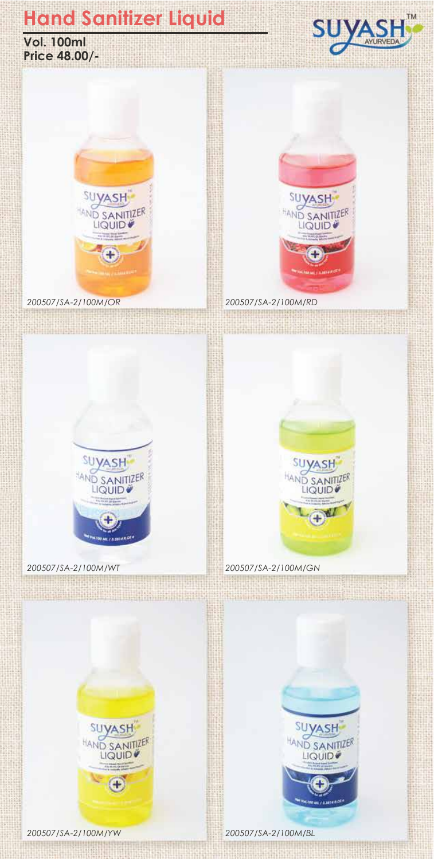**Vol. 100ml Price 48.00/-**





*200507/SA-2/100M/OR 200507/SA-2/100M/RD*





<u>ma la tattu dituli 1999 (La Stoling and J</u>

*200507/SA-2/100M/WT 200507/SA-2/100M/GN*



<u>tan a sala ababbayan giri</u>n



*200507/SA-2/100M/YW 200507/SA-2/100M/BL*

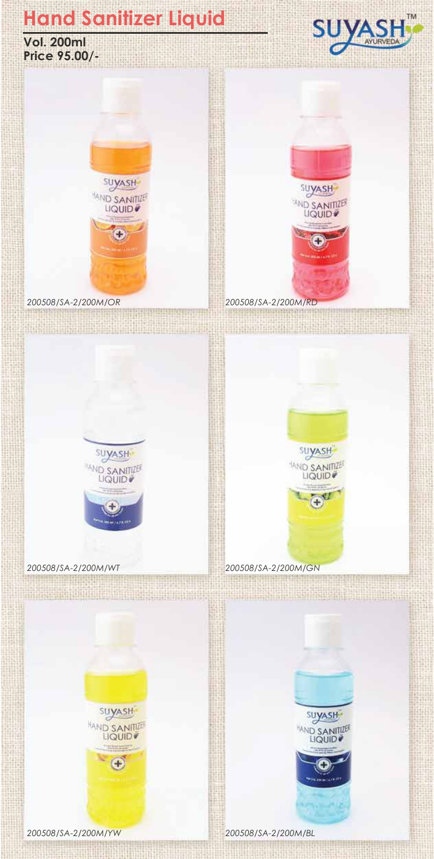





*200508/SA-2/200M/OR 200508/SA-2/200M/RD*







man s

<u> HIRL GENERAL MAN HANDA</u>

*200508/SA-2/200M/WT 200508/SA-2/200M/GN*

**ALCOHOLISTIC** 



<u>ali salah sahiji désa di ka</u>





*200508/SA-2/200M/YW 200508/SA-2/200M/BL*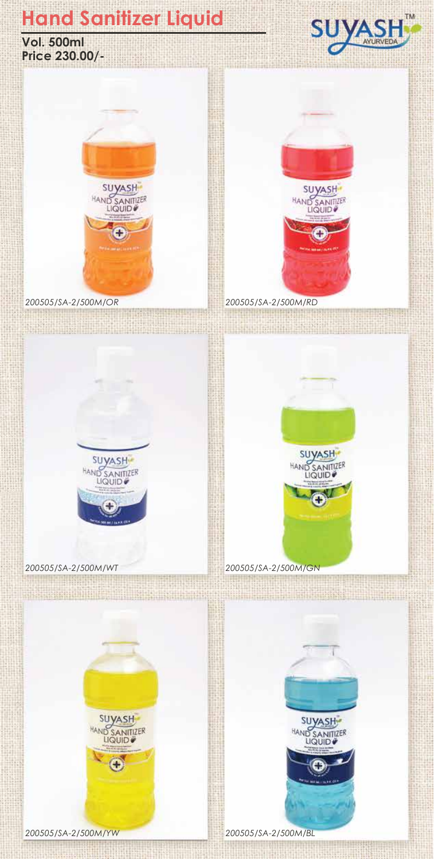**Vol. 500ml Price 230.00/-**





*200505/SA-2/500M/OR 200505/SA-2/500M/RD*





*200505/SA-2/500M/WT 200505/SA-2/500M/GN*



<u> Andreas Andreas Militär (Andreas Andreas Andreas Andreas Andreas Andreas Andreas Andreas Andreas Andreas Andreas Andreas Andreas Andreas Andreas Andreas Andreas Andreas Andreas Andreas Andreas Andreas Andreas Andreas And</u>



<u> III an Stàitean an Dùbhlach an Dùbhlach an Dùbhlach an Dùbhlach an Dùbhlach an Dùbhlach an Dùbhlach an Dùbhlach an Dùbhlach an Dùbhlach an Dùbhlach an Dùbhlach an Dùbhlach an Dùbhlach an Dùbhlach an Dùbhlach an Dùbhlach </u>

*200505/SA-2/500M/YW 200505/SA-2/500M/BL*

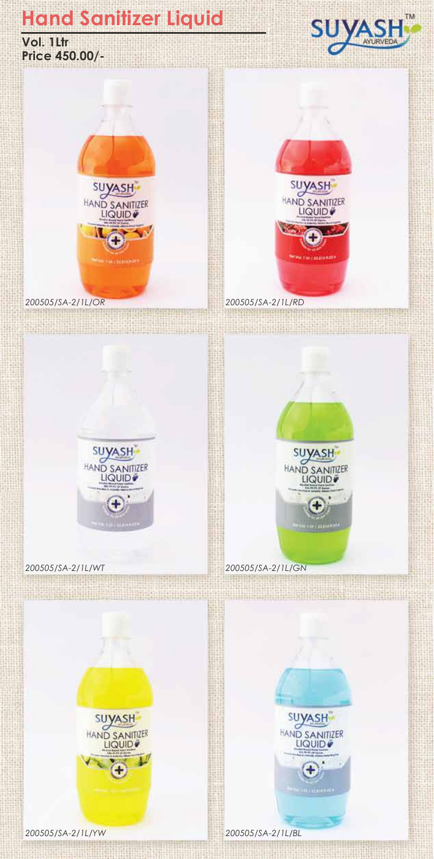





*200505/SA-2/1L/OR 200505/SA-2/1L/RD*







*200505/SA-2/1L/YW 200505/SA-2/1L/BL*



<u> Umania kata supe</u>



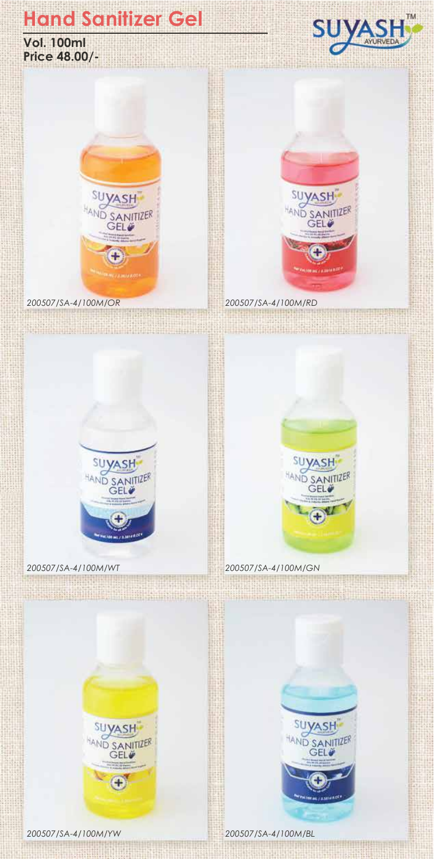# **Hand Sanitizer Gel**





**TANAHIRE AND IN** 



*200507/SA-4/100M/OR 200507/SA-4/100M/RD*

<u>menti il ma</u>





<u> Alexandria Miller de la</u>

 $1.11$ 

*200507/SA-4/100M/WT 200507/SA-4/100M/GN*



<u> Billiam Martin Alban (Barbara) (Barbara) (Barbara) (Barbara) (Barbara) (Barbara) (Barbara) (Barbara) (Barbara) (Barbara) (Barbara) (Barbara) (Barbara) (Barbara) (Barbara) (Barbara) (Barbara) (Barbara) (Barbara) (Barbara)</u>

**SUYASH** 

**D SANITIZER** 

**METABRIAN** 



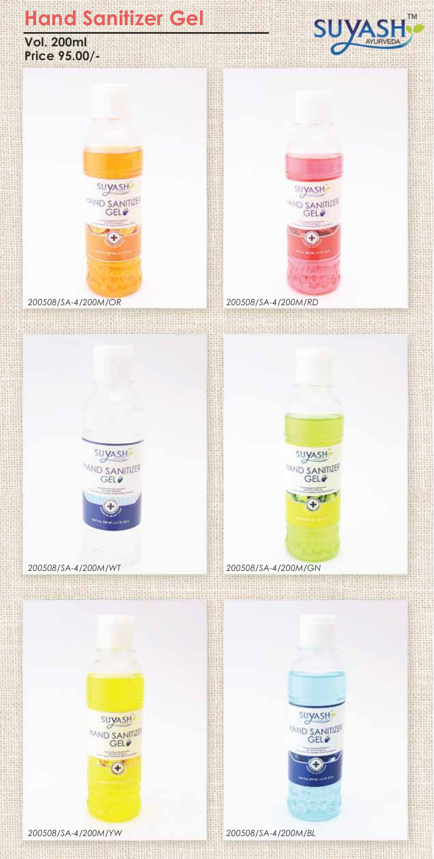# **Hand Sanitizer Gel**





*200508/SA-4/200M/OR 200508/SA-4/200M/RD*



**TM** 

**ASH** 

<u>SUYA</u>



<u> Lindhinistoj</u>

*200508/SA-4/200M/WT 200508/SA-4/200M/GN*



SUYASH

**WIND SANITIZE** 

<u> Andrijski potra</u>

and W. H.S.



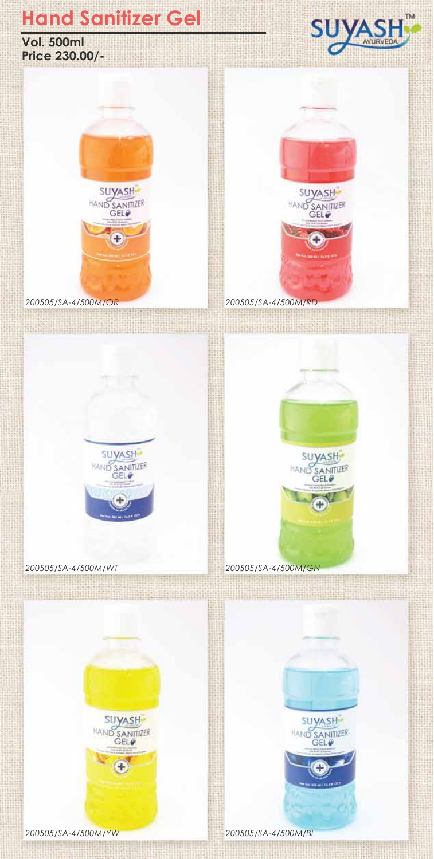### **Hand Sanitizer Gel**

**Vol. 500ml Price 230.00/-**



*200505/SA-4/500M/OR 200505/SA-4/500M/RD*





*200505/SA-4/500M/WT 200505/SA-4/500M/GN*









*200505/SA-4/500M/YW 200505/SA-4/500M/BL*